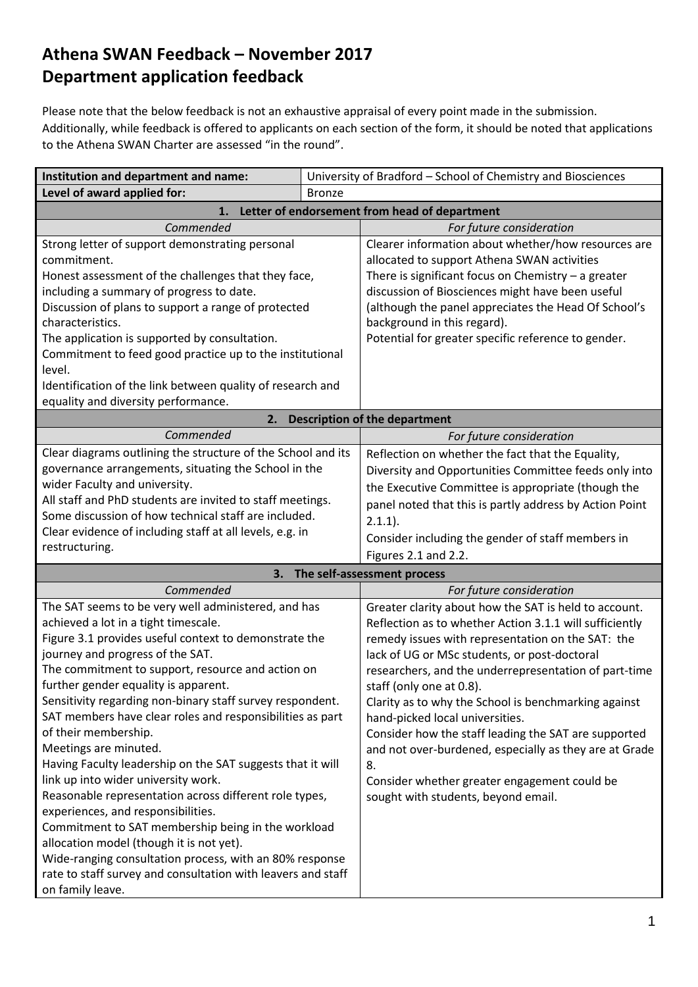## **Athena SWAN Feedback – November 2017 Department application feedback**

Please note that the below feedback is not an exhaustive appraisal of every point made in the submission. Additionally, while feedback is offered to applicants on each section of the form, it should be noted that applications to the Athena SWAN Charter are assessed "in the round".

| Institution and department and name:                                                              |               | University of Bradford - School of Chemistry and Biosciences                        |  |  |
|---------------------------------------------------------------------------------------------------|---------------|-------------------------------------------------------------------------------------|--|--|
| Level of award applied for:                                                                       | <b>Bronze</b> |                                                                                     |  |  |
| Letter of endorsement from head of department<br>1.                                               |               |                                                                                     |  |  |
| Commended                                                                                         |               | For future consideration                                                            |  |  |
| Strong letter of support demonstrating personal                                                   |               | Clearer information about whether/how resources are                                 |  |  |
| commitment.                                                                                       |               | allocated to support Athena SWAN activities                                         |  |  |
| Honest assessment of the challenges that they face,                                               |               | There is significant focus on Chemistry $-$ a greater                               |  |  |
| including a summary of progress to date.                                                          |               | discussion of Biosciences might have been useful                                    |  |  |
| Discussion of plans to support a range of protected                                               |               | (although the panel appreciates the Head Of School's                                |  |  |
| characteristics.                                                                                  |               | background in this regard).                                                         |  |  |
| The application is supported by consultation.                                                     |               | Potential for greater specific reference to gender.                                 |  |  |
| Commitment to feed good practice up to the institutional                                          |               |                                                                                     |  |  |
| level.                                                                                            |               |                                                                                     |  |  |
| Identification of the link between quality of research and                                        |               |                                                                                     |  |  |
| equality and diversity performance.                                                               |               |                                                                                     |  |  |
| 2.<br>Commended                                                                                   |               | <b>Description of the department</b>                                                |  |  |
|                                                                                                   |               | For future consideration                                                            |  |  |
| Clear diagrams outlining the structure of the School and its                                      |               | Reflection on whether the fact that the Equality,                                   |  |  |
| governance arrangements, situating the School in the<br>wider Faculty and university.             |               | Diversity and Opportunities Committee feeds only into                               |  |  |
| All staff and PhD students are invited to staff meetings.                                         |               | the Executive Committee is appropriate (though the                                  |  |  |
| Some discussion of how technical staff are included.                                              |               | panel noted that this is partly address by Action Point                             |  |  |
| Clear evidence of including staff at all levels, e.g. in                                          |               | $2.1.1$ ).                                                                          |  |  |
| restructuring.                                                                                    |               | Consider including the gender of staff members in                                   |  |  |
|                                                                                                   |               | Figures 2.1 and 2.2.                                                                |  |  |
| 3.                                                                                                |               | The self-assessment process                                                         |  |  |
| Commended                                                                                         |               | For future consideration                                                            |  |  |
| The SAT seems to be very well administered, and has                                               |               | Greater clarity about how the SAT is held to account.                               |  |  |
| achieved a lot in a tight timescale.                                                              |               | Reflection as to whether Action 3.1.1 will sufficiently                             |  |  |
| Figure 3.1 provides useful context to demonstrate the                                             |               | remedy issues with representation on the SAT: the                                   |  |  |
| journey and progress of the SAT.                                                                  |               | lack of UG or MSc students, or post-doctoral                                        |  |  |
| The commitment to support, resource and action on                                                 |               | researchers, and the underrepresentation of part-time                               |  |  |
| further gender equality is apparent.<br>Sensitivity regarding non-binary staff survey respondent. |               | staff (only one at 0.8).                                                            |  |  |
|                                                                                                   |               | Clarity as to why the School is benchmarking against                                |  |  |
| SAT members have clear roles and responsibilities as part                                         |               | hand-picked local universities.                                                     |  |  |
| of their membership.                                                                              |               | Consider how the staff leading the SAT are supported                                |  |  |
| Meetings are minuted.                                                                             |               | and not over-burdened, especially as they are at Grade                              |  |  |
| Having Faculty leadership on the SAT suggests that it will                                        |               | 8.                                                                                  |  |  |
| link up into wider university work.                                                               |               | Consider whether greater engagement could be<br>sought with students, beyond email. |  |  |
| Reasonable representation across different role types,<br>experiences, and responsibilities.      |               |                                                                                     |  |  |
| Commitment to SAT membership being in the workload                                                |               |                                                                                     |  |  |
| allocation model (though it is not yet).                                                          |               |                                                                                     |  |  |
| Wide-ranging consultation process, with an 80% response                                           |               |                                                                                     |  |  |
| rate to staff survey and consultation with leavers and staff                                      |               |                                                                                     |  |  |
| on family leave.                                                                                  |               |                                                                                     |  |  |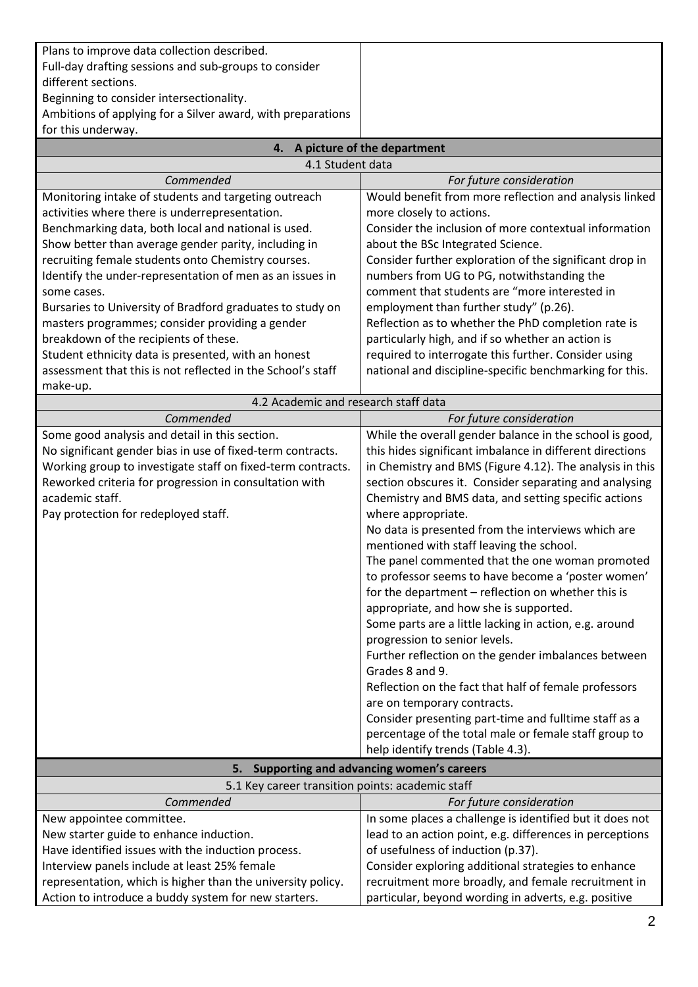| Plans to improve data collection described.                                                                           |                                                                                                                      |
|-----------------------------------------------------------------------------------------------------------------------|----------------------------------------------------------------------------------------------------------------------|
| Full-day drafting sessions and sub-groups to consider                                                                 |                                                                                                                      |
| different sections.                                                                                                   |                                                                                                                      |
| Beginning to consider intersectionality.                                                                              |                                                                                                                      |
| Ambitions of applying for a Silver award, with preparations                                                           |                                                                                                                      |
| for this underway.                                                                                                    |                                                                                                                      |
| 4.                                                                                                                    | A picture of the department                                                                                          |
| 4.1 Student data                                                                                                      |                                                                                                                      |
| Commended                                                                                                             | For future consideration                                                                                             |
| Monitoring intake of students and targeting outreach<br>activities where there is underrepresentation.                | Would benefit from more reflection and analysis linked<br>more closely to actions.                                   |
| Benchmarking data, both local and national is used.                                                                   | Consider the inclusion of more contextual information                                                                |
| Show better than average gender parity, including in                                                                  | about the BSc Integrated Science.                                                                                    |
| recruiting female students onto Chemistry courses.                                                                    | Consider further exploration of the significant drop in                                                              |
| Identify the under-representation of men as an issues in                                                              | numbers from UG to PG, notwithstanding the                                                                           |
| some cases.                                                                                                           | comment that students are "more interested in                                                                        |
| Bursaries to University of Bradford graduates to study on                                                             | employment than further study" (p.26).                                                                               |
| masters programmes; consider providing a gender                                                                       | Reflection as to whether the PhD completion rate is                                                                  |
| breakdown of the recipients of these.                                                                                 | particularly high, and if so whether an action is                                                                    |
| Student ethnicity data is presented, with an honest                                                                   | required to interrogate this further. Consider using                                                                 |
| assessment that this is not reflected in the School's staff                                                           | national and discipline-specific benchmarking for this.                                                              |
| make-up.                                                                                                              |                                                                                                                      |
| 4.2 Academic and research staff data                                                                                  |                                                                                                                      |
| Commended                                                                                                             | For future consideration                                                                                             |
| Some good analysis and detail in this section.                                                                        | While the overall gender balance in the school is good,                                                              |
| No significant gender bias in use of fixed-term contracts.                                                            | this hides significant imbalance in different directions<br>in Chemistry and BMS (Figure 4.12). The analysis in this |
| Working group to investigate staff on fixed-term contracts.<br>Reworked criteria for progression in consultation with | section obscures it. Consider separating and analysing                                                               |
| academic staff.                                                                                                       | Chemistry and BMS data, and setting specific actions                                                                 |
| Pay protection for redeployed staff.                                                                                  | where appropriate.                                                                                                   |
|                                                                                                                       | No data is presented from the interviews which are                                                                   |
|                                                                                                                       | mentioned with staff leaving the school.                                                                             |
|                                                                                                                       | The panel commented that the one woman promoted                                                                      |
|                                                                                                                       | to professor seems to have become a 'poster women'                                                                   |
|                                                                                                                       | for the department - reflection on whether this is                                                                   |
|                                                                                                                       | appropriate, and how she is supported.                                                                               |
|                                                                                                                       | Some parts are a little lacking in action, e.g. around                                                               |
|                                                                                                                       | progression to senior levels.                                                                                        |
|                                                                                                                       | Further reflection on the gender imbalances between                                                                  |
|                                                                                                                       | Grades 8 and 9.                                                                                                      |
|                                                                                                                       | Reflection on the fact that half of female professors                                                                |
|                                                                                                                       | are on temporary contracts.<br>Consider presenting part-time and fulltime staff as a                                 |
|                                                                                                                       | percentage of the total male or female staff group to                                                                |
|                                                                                                                       | help identify trends (Table 4.3).                                                                                    |
| 5.                                                                                                                    | Supporting and advancing women's careers                                                                             |
| 5.1 Key career transition points: academic staff                                                                      |                                                                                                                      |
| Commended                                                                                                             | For future consideration                                                                                             |
| New appointee committee.                                                                                              | In some places a challenge is identified but it does not                                                             |
| New starter guide to enhance induction.                                                                               | lead to an action point, e.g. differences in perceptions                                                             |
| Have identified issues with the induction process.                                                                    | of usefulness of induction (p.37).                                                                                   |
| Interview panels include at least 25% female                                                                          | Consider exploring additional strategies to enhance                                                                  |
| representation, which is higher than the university policy.                                                           | recruitment more broadly, and female recruitment in                                                                  |
| Action to introduce a buddy system for new starters.                                                                  | particular, beyond wording in adverts, e.g. positive                                                                 |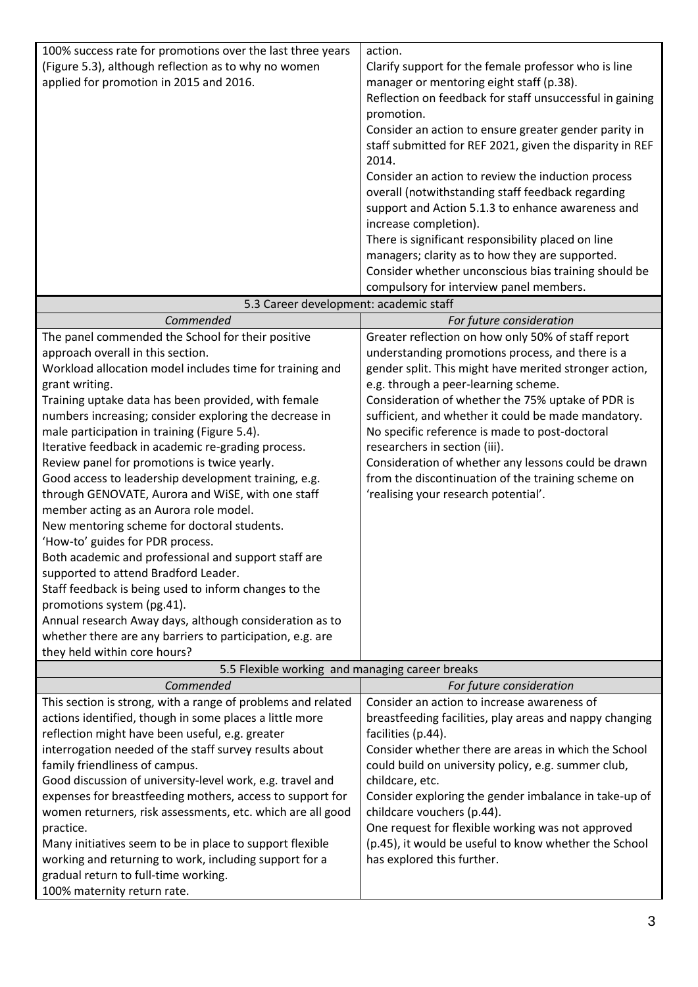| 100% success rate for promotions over the last three years                            | action.                                                  |
|---------------------------------------------------------------------------------------|----------------------------------------------------------|
| (Figure 5.3), although reflection as to why no women                                  | Clarify support for the female professor who is line     |
| applied for promotion in 2015 and 2016.                                               | manager or mentoring eight staff (p.38).                 |
|                                                                                       | Reflection on feedback for staff unsuccessful in gaining |
|                                                                                       | promotion.                                               |
|                                                                                       | Consider an action to ensure greater gender parity in    |
|                                                                                       | staff submitted for REF 2021, given the disparity in REF |
|                                                                                       | 2014.                                                    |
|                                                                                       | Consider an action to review the induction process       |
|                                                                                       | overall (notwithstanding staff feedback regarding        |
|                                                                                       | support and Action 5.1.3 to enhance awareness and        |
|                                                                                       | increase completion).                                    |
|                                                                                       | There is significant responsibility placed on line       |
|                                                                                       | managers; clarity as to how they are supported.          |
|                                                                                       | Consider whether unconscious bias training should be     |
|                                                                                       | compulsory for interview panel members.                  |
| 5.3 Career development: academic staff                                                |                                                          |
| Commended                                                                             | For future consideration                                 |
| The panel commended the School for their positive                                     | Greater reflection on how only 50% of staff report       |
| approach overall in this section.                                                     | understanding promotions process, and there is a         |
| Workload allocation model includes time for training and                              | gender split. This might have merited stronger action,   |
| grant writing.                                                                        | e.g. through a peer-learning scheme.                     |
| Training uptake data has been provided, with female                                   | Consideration of whether the 75% uptake of PDR is        |
| numbers increasing; consider exploring the decrease in                                | sufficient, and whether it could be made mandatory.      |
| male participation in training (Figure 5.4).                                          | No specific reference is made to post-doctoral           |
| Iterative feedback in academic re-grading process.                                    | researchers in section (iii).                            |
| Review panel for promotions is twice yearly.                                          | Consideration of whether any lessons could be drawn      |
| Good access to leadership development training, e.g.                                  | from the discontinuation of the training scheme on       |
| through GENOVATE, Aurora and WiSE, with one staff                                     | 'realising your research potential'.                     |
| member acting as an Aurora role model.<br>New mentoring scheme for doctoral students. |                                                          |
| 'How-to' guides for PDR process.                                                      |                                                          |
| Both academic and professional and support staff are                                  |                                                          |
| supported to attend Bradford Leader.                                                  |                                                          |
| Staff feedback is being used to inform changes to the                                 |                                                          |
| promotions system (pg.41).                                                            |                                                          |
| Annual research Away days, although consideration as to                               |                                                          |
| whether there are any barriers to participation, e.g. are                             |                                                          |
| they held within core hours?                                                          |                                                          |
| 5.5 Flexible working and managing career breaks                                       |                                                          |
| Commended                                                                             | For future consideration                                 |
| This section is strong, with a range of problems and related                          | Consider an action to increase awareness of              |
| actions identified, though in some places a little more                               | breastfeeding facilities, play areas and nappy changing  |
| reflection might have been useful, e.g. greater                                       | facilities (p.44).                                       |
| interrogation needed of the staff survey results about                                | Consider whether there are areas in which the School     |
| family friendliness of campus.                                                        | could build on university policy, e.g. summer club,      |
| Good discussion of university-level work, e.g. travel and                             | childcare, etc.                                          |
| expenses for breastfeeding mothers, access to support for                             | Consider exploring the gender imbalance in take-up of    |
| women returners, risk assessments, etc. which are all good                            | childcare vouchers (p.44).                               |
| practice.                                                                             | One request for flexible working was not approved        |
| Many initiatives seem to be in place to support flexible                              | (p.45), it would be useful to know whether the School    |
| working and returning to work, including support for a                                | has explored this further.                               |
| gradual return to full-time working.                                                  |                                                          |
| 100% maternity return rate.                                                           |                                                          |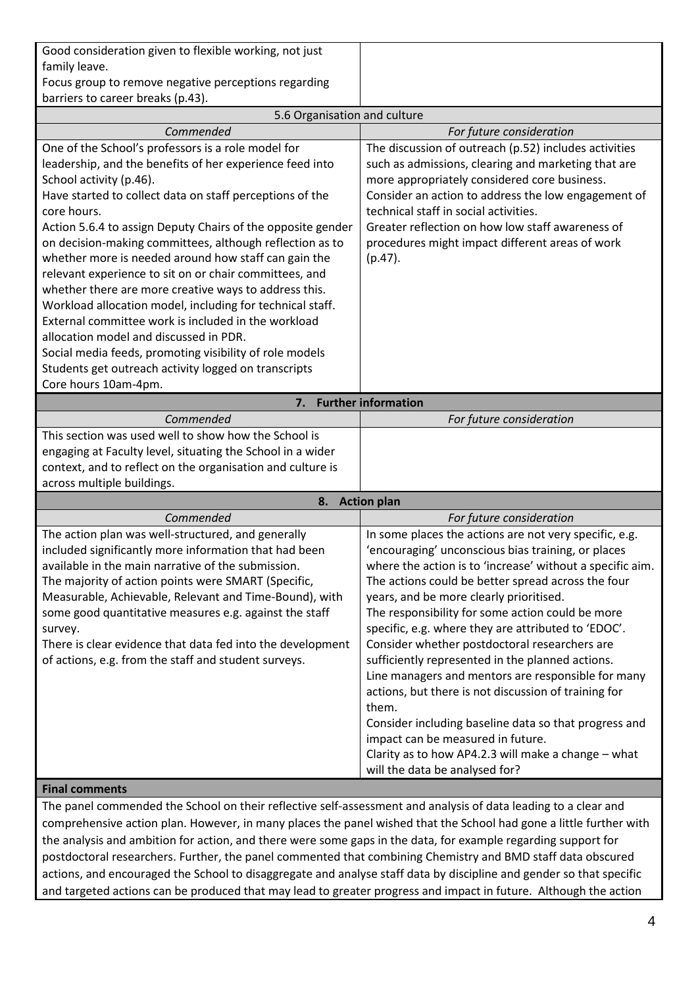| Good consideration given to flexible working, not just |  |
|--------------------------------------------------------|--|
| family leave.                                          |  |
| Focus group to remove negative perceptions regarding   |  |
| barriers to career breaks (p.43).                      |  |

| 5.6 Organisation and culture                                |                                                           |
|-------------------------------------------------------------|-----------------------------------------------------------|
| Commended                                                   | For future consideration                                  |
| One of the School's professors is a role model for          | The discussion of outreach (p.52) includes activities     |
| leadership, and the benefits of her experience feed into    | such as admissions, clearing and marketing that are       |
| School activity (p.46).                                     | more appropriately considered core business.              |
| Have started to collect data on staff perceptions of the    | Consider an action to address the low engagement of       |
| core hours.                                                 | technical staff in social activities.                     |
| Action 5.6.4 to assign Deputy Chairs of the opposite gender | Greater reflection on how low staff awareness of          |
| on decision-making committees, although reflection as to    | procedures might impact different areas of work           |
| whether more is needed around how staff can gain the        | $(p.47)$ .                                                |
| relevant experience to sit on or chair committees, and      |                                                           |
| whether there are more creative ways to address this.       |                                                           |
| Workload allocation model, including for technical staff.   |                                                           |
| External committee work is included in the workload         |                                                           |
| allocation model and discussed in PDR.                      |                                                           |
| Social media feeds, promoting visibility of role models     |                                                           |
| Students get outreach activity logged on transcripts        |                                                           |
| Core hours 10am-4pm.                                        |                                                           |
| 7.                                                          | <b>Further information</b>                                |
| Commended                                                   | For future consideration                                  |
| This section was used well to show how the School is        |                                                           |
| engaging at Faculty level, situating the School in a wider  |                                                           |
| context, and to reflect on the organisation and culture is  |                                                           |
| across multiple buildings.                                  |                                                           |
| 8.                                                          | <b>Action plan</b>                                        |
| Commended                                                   | For future consideration                                  |
| The action plan was well-structured, and generally          | In some places the actions are not very specific, e.g.    |
| included significantly more information that had been       | 'encouraging' unconscious bias training, or places        |
| available in the main narrative of the submission.          | where the action is to 'increase' without a specific aim. |
| The majority of action points were SMART (Specific,         | The actions could be better spread across the four        |
| Measurable, Achievable, Relevant and Time-Bound), with      | years, and be more clearly prioritised.                   |
| some good quantitative measures e.g. against the staff      | The responsibility for some action could be more          |
| survey.                                                     | specific, e.g. where they are attributed to 'EDOC'.       |
| There is clear evidence that data fed into the development  | Consider whether postdoctoral researchers are             |
| of actions, e.g. from the staff and student surveys.        | sufficiently represented in the planned actions.          |
|                                                             | Line managers and mentors are responsible for many        |
|                                                             | actions, but there is not discussion of training for      |
|                                                             | them.                                                     |
|                                                             | Consider including baseline data so that progress and     |
|                                                             | impact can be measured in future.                         |
|                                                             | Clarity as to how AP4.2.3 will make a change - what       |
|                                                             | will the data be analysed for?                            |

## **Final comments**

The panel commended the School on their reflective self-assessment and analysis of data leading to a clear and comprehensive action plan. However, in many places the panel wished that the School had gone a little further with the analysis and ambition for action, and there were some gaps in the data, for example regarding support for postdoctoral researchers. Further, the panel commented that combining Chemistry and BMD staff data obscured actions, and encouraged the School to disaggregate and analyse staff data by discipline and gender so that specific and targeted actions can be produced that may lead to greater progress and impact in future. Although the action